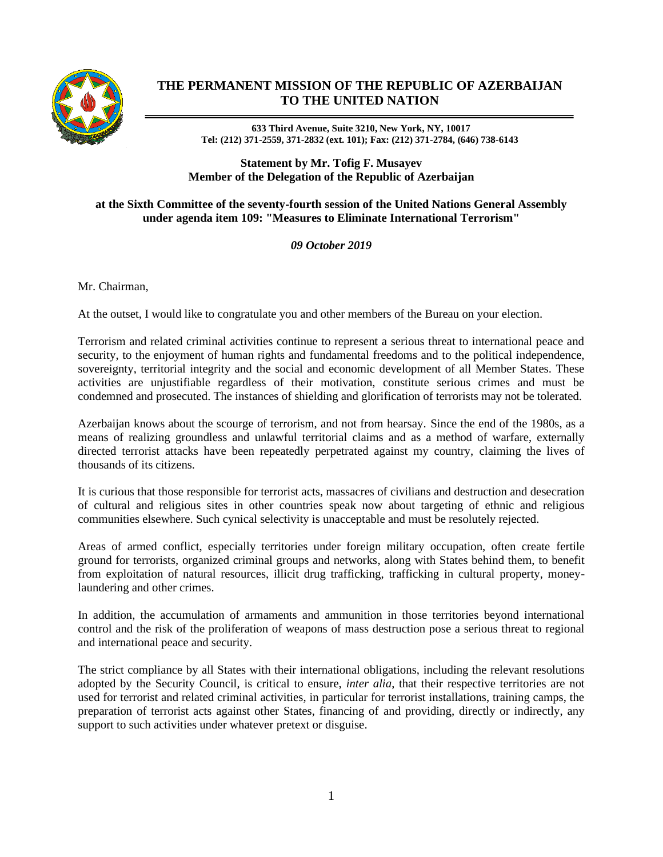

## **THE PERMANENT MISSION OF THE REPUBLIC OF AZERBAIJAN TO THE UNITED NATION**

**633 Third Avenue, Suite 3210, New York, NY, 10017 Tel: (212) 371-2559, 371-2832 (ext. 101); Fax: (212) 371-2784, (646) 738-6143**

**Statement by Mr. Tofig F. Musayev Member of the Delegation of the Republic of Azerbaijan**

## **at the Sixth Committee of the seventy-fourth session of the United Nations General Assembly under agenda item 109: "Measures to Eliminate International Terrorism"**

## *09 October 2019*

Mr. Chairman,

At the outset, I would like to congratulate you and other members of the Bureau on your election.

Terrorism and related criminal activities continue to represent a serious threat to international peace and security, to the enjoyment of human rights and fundamental freedoms and to the political independence, sovereignty, territorial integrity and the social and economic development of all Member States. These activities are unjustifiable regardless of their motivation, constitute serious crimes and must be condemned and prosecuted. The instances of shielding and glorification of terrorists may not be tolerated.

Azerbaijan knows about the scourge of terrorism, and not from hearsay. Since the end of the 1980s, as a means of realizing groundless and unlawful territorial claims and as a method of warfare, externally directed terrorist attacks have been repeatedly perpetrated against my country, claiming the lives of thousands of its citizens.

It is curious that those responsible for terrorist acts, massacres of civilians and destruction and desecration of cultural and religious sites in other countries speak now about targeting of ethnic and religious communities elsewhere. Such cynical selectivity is unacceptable and must be resolutely rejected.

Areas of armed conflict, especially territories under foreign military occupation, often create fertile ground for terrorists, organized criminal groups and networks, along with States behind them, to benefit from exploitation of natural resources, illicit drug trafficking, trafficking in cultural property, moneylaundering and other crimes.

In addition, the accumulation of armaments and ammunition in those territories beyond international control and the risk of the proliferation of weapons of mass destruction pose a serious threat to regional and international peace and security.

The strict compliance by all States with their international obligations, including the relevant resolutions adopted by the Security Council, is critical to ensure, *inter alia*, that their respective territories are not used for terrorist and related criminal activities, in particular for terrorist installations, training camps, the preparation of terrorist acts against other States, financing of and providing, directly or indirectly, any support to such activities under whatever pretext or disguise.